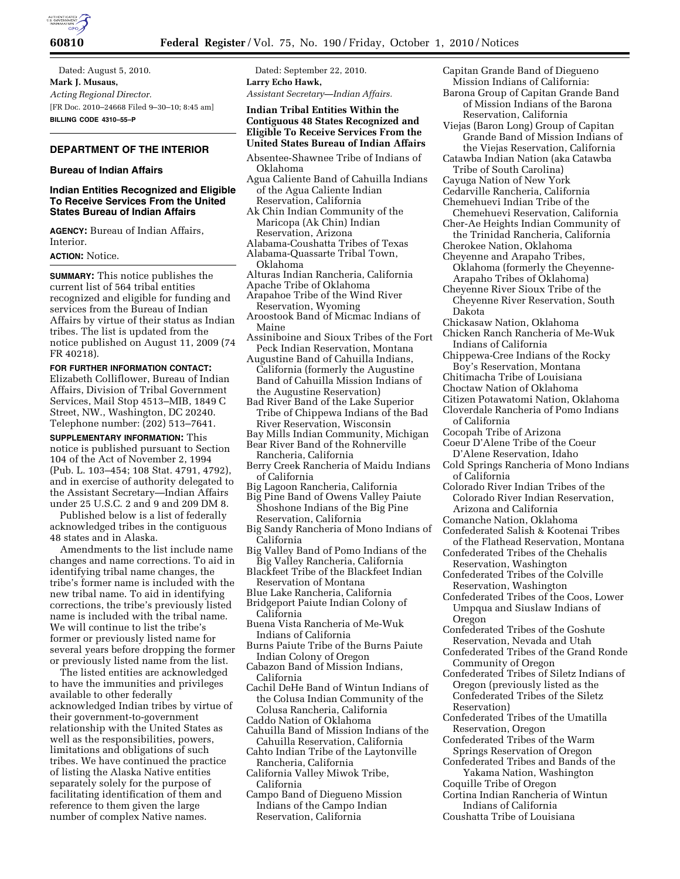

Dated: August 5, 2010. **Mark J. Musaus,**  *Acting Regional Director.*  [FR Doc. 2010–24668 Filed 9–30–10; 8:45 am] **BILLING CODE 4310–55–P** 

# **DEPARTMENT OF THE INTERIOR**

# **Bureau of Indian Affairs**

# **Indian Entities Recognized and Eligible To Receive Services From the United States Bureau of Indian Affairs**

**AGENCY:** Bureau of Indian Affairs, Interior.

#### **ACTION:** Notice.

**SUMMARY:** This notice publishes the current list of 564 tribal entities recognized and eligible for funding and services from the Bureau of Indian Affairs by virtue of their status as Indian tribes. The list is updated from the notice published on August 11, 2009 (74 FR 40218).

**FOR FURTHER INFORMATION CONTACT:**  Elizabeth Colliflower, Bureau of Indian Affairs, Division of Tribal Government Services, Mail Stop 4513–MIB, 1849 C Street, NW., Washington, DC 20240. Telephone number: (202) 513–7641.

**SUPPLEMENTARY INFORMATION:** This notice is published pursuant to Section 104 of the Act of November 2, 1994 (Pub. L. 103–454; 108 Stat. 4791, 4792), and in exercise of authority delegated to the Assistant Secretary—Indian Affairs under 25 U.S.C. 2 and 9 and 209 DM 8.

Published below is a list of federally acknowledged tribes in the contiguous 48 states and in Alaska.

Amendments to the list include name changes and name corrections. To aid in identifying tribal name changes, the tribe's former name is included with the new tribal name. To aid in identifying corrections, the tribe's previously listed name is included with the tribal name. We will continue to list the tribe's former or previously listed name for several years before dropping the former or previously listed name from the list.

The listed entities are acknowledged to have the immunities and privileges available to other federally acknowledged Indian tribes by virtue of their government-to-government relationship with the United States as well as the responsibilities, powers, limitations and obligations of such tribes. We have continued the practice of listing the Alaska Native entities separately solely for the purpose of facilitating identification of them and reference to them given the large number of complex Native names.

Dated: September 22, 2010. **Larry Echo Hawk,** 

*Assistant Secretary—Indian Affairs.* 

#### **Indian Tribal Entities Within the Contiguous 48 States Recognized and Eligible To Receive Services From the United States Bureau of Indian Affairs**

- Absentee-Shawnee Tribe of Indians of Oklahoma
- Agua Caliente Band of Cahuilla Indians of the Agua Caliente Indian Reservation, California
- Ak Chin Indian Community of the Maricopa (Ak Chin) Indian Reservation, Arizona
- Alabama-Coushatta Tribes of Texas
- Alabama-Quassarte Tribal Town, Oklahoma
- Alturas Indian Rancheria, California
- Apache Tribe of Oklahoma
- Arapahoe Tribe of the Wind River Reservation, Wyoming
- Aroostook Band of Micmac Indians of Maine
- Assiniboine and Sioux Tribes of the Fort Peck Indian Reservation, Montana
- Augustine Band of Cahuilla Indians, California (formerly the Augustine Band of Cahuilla Mission Indians of the Augustine Reservation)
- Bad River Band of the Lake Superior Tribe of Chippewa Indians of the Bad River Reservation, Wisconsin
- Bay Mills Indian Community, Michigan Bear River Band of the Rohnerville Rancheria, California
- Berry Creek Rancheria of Maidu Indians of California
- Big Lagoon Rancheria, California
- Big Pine Band of Owens Valley Paiute Shoshone Indians of the Big Pine Reservation, California
- Big Sandy Rancheria of Mono Indians of California
- Big Valley Band of Pomo Indians of the Big Valley Rancheria, California
- Blackfeet Tribe of the Blackfeet Indian Reservation of Montana
- Blue Lake Rancheria, California
- Bridgeport Paiute Indian Colony of California
- Buena Vista Rancheria of Me-Wuk Indians of California
- Burns Paiute Tribe of the Burns Paiute Indian Colony of Oregon
- Cabazon Band of Mission Indians, California
- Cachil DeHe Band of Wintun Indians of the Colusa Indian Community of the Colusa Rancheria, California
- Caddo Nation of Oklahoma
- Cahuilla Band of Mission Indians of the Cahuilla Reservation, California
- Cahto Indian Tribe of the Laytonville Rancheria, California
- California Valley Miwok Tribe, California
- Campo Band of Diegueno Mission Indians of the Campo Indian Reservation, California

Capitan Grande Band of Diegueno Mission Indians of California:

- Barona Group of Capitan Grande Band of Mission Indians of the Barona
- Reservation, California Viejas (Baron Long) Group of Capitan
- Grande Band of Mission Indians of the Viejas Reservation, California
- Catawba Indian Nation (aka Catawba
- Tribe of South Carolina) Cayuga Nation of New York
- Cedarville Rancheria, California
- Chemehuevi Indian Tribe of the
- Chemehuevi Reservation, California Cher-Ae Heights Indian Community of
- the Trinidad Rancheria, California
- Cherokee Nation, Oklahoma Cheyenne and Arapaho Tribes,
	- Oklahoma (formerly the Cheyenne-Arapaho Tribes of Oklahoma)
- Cheyenne River Sioux Tribe of the Cheyenne River Reservation, South Dakota
- Chickasaw Nation, Oklahoma
- Chicken Ranch Rancheria of Me-Wuk Indians of California
- Chippewa-Cree Indians of the Rocky Boy's Reservation, Montana
- Chitimacha Tribe of Louisiana
- Choctaw Nation of Oklahoma
- Citizen Potawatomi Nation, Oklahoma
- Cloverdale Rancheria of Pomo Indians of California
- Cocopah Tribe of Arizona
- Coeur D'Alene Tribe of the Coeur D'Alene Reservation, Idaho
- Cold Springs Rancheria of Mono Indians of California
- Colorado River Indian Tribes of the Colorado River Indian Reservation, Arizona and California
- Comanche Nation, Oklahoma
- Confederated Salish & Kootenai Tribes of the Flathead Reservation, Montana
- Confederated Tribes of the Chehalis Reservation, Washington
- Confederated Tribes of the Colville Reservation, Washington
- Confederated Tribes of the Coos, Lower Umpqua and Siuslaw Indians of Oregon
- Confederated Tribes of the Goshute Reservation, Nevada and Utah
- Confederated Tribes of the Grand Ronde Community of Oregon
- Confederated Tribes of Siletz Indians of Oregon (previously listed as the Confederated Tribes of the Siletz Reservation)
- Confederated Tribes of the Umatilla Reservation, Oregon
- Confederated Tribes of the Warm Springs Reservation of Oregon
- Confederated Tribes and Bands of the Yakama Nation, Washington
- Coquille Tribe of Oregon
- Cortina Indian Rancheria of Wintun Indians of California
- Coushatta Tribe of Louisiana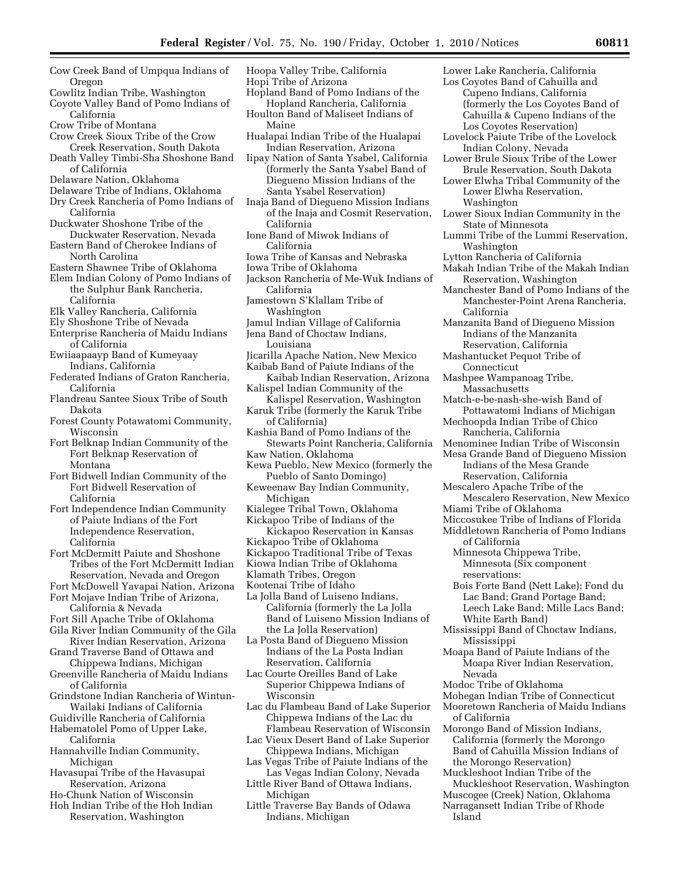- Cow Creek Band of Umpqua Indians of Oregon
- Cowlitz Indian Tribe, Washington Coyote Valley Band of Pomo Indians of California
- Crow Tribe of Montana
- Crow Creek Sioux Tribe of the Crow
- Creek Reservation, South Dakota Death Valley Timbi-Sha Shoshone Band
- of California Delaware Nation, Oklahoma
- Delaware Tribe of Indians, Oklahoma
- Dry Creek Rancheria of Pomo Indians of California
- Duckwater Shoshone Tribe of the Duckwater Reservation, Nevada
- Eastern Band of Cherokee Indians of North Carolina
- Eastern Shawnee Tribe of Oklahoma
- Elem Indian Colony of Pomo Indians of the Sulphur Bank Rancheria, California
- Elk Valley Rancheria, California
- Ely Shoshone Tribe of Nevada
- Enterprise Rancheria of Maidu Indians of California
- Ewiiaapaayp Band of Kumeyaay Indians, California
- Federated Indians of Graton Rancheria, California
- Flandreau Santee Sioux Tribe of South Dakota
- Forest County Potawatomi Community, Wisconsin
- Fort Belknap Indian Community of the Fort Belknap Reservation of Montana
- Fort Bidwell Indian Community of the Fort Bidwell Reservation of California
- Fort Independence Indian Community of Paiute Indians of the Fort Independence Reservation, California
- Fort McDermitt Paiute and Shoshone Tribes of the Fort McDermitt Indian Reservation, Nevada and Oregon
- 
- Fort McDowell Yavapai Nation, Arizona Fort Mojave Indian Tribe of Arizona, California & Nevada
- Fort Sill Apache Tribe of Oklahoma
- Gila River Indian Community of the Gila River Indian Reservation, Arizona
- Grand Traverse Band of Ottawa and Chippewa Indians, Michigan
- Greenville Rancheria of Maidu Indians of California
- Grindstone Indian Rancheria of Wintun-Wailaki Indians of California
- Guidiville Rancheria of California Habematolel Pomo of Upper Lake,
	- California
- Hannahville Indian Community, Michigan
- Havasupai Tribe of the Havasupai Reservation, Arizona
- Ho-Chunk Nation of Wisconsin
- Hoh Indian Tribe of the Hoh Indian Reservation, Washington
- Hoopa Valley Tribe, California Hopi Tribe of Arizona
- Hopland Band of Pomo Indians of the Hopland Rancheria, California
- Houlton Band of Maliseet Indians of Maine
- Hualapai Indian Tribe of the Hualapai Indian Reservation, Arizona
- Iipay Nation of Santa Ysabel, California (formerly the Santa Ysabel Band of Diegueno Mission Indians of the Santa Ysabel Reservation)
- Inaja Band of Diegueno Mission Indians of the Inaja and Cosmit Reservation, California
- Ione Band of Miwok Indians of California
- Iowa Tribe of Kansas and Nebraska
- Iowa Tribe of Oklahoma
- Jackson Rancheria of Me-Wuk Indians of California
- Jamestown S'Klallam Tribe of Washington
- Jamul Indian Village of California Jena Band of Choctaw Indians,
	- Louisiana
- Jicarilla Apache Nation, New Mexico Kaibab Band of Paiute Indians of the
- Kaibab Indian Reservation, Arizona Kalispel Indian Community of the
- Kalispel Reservation, Washington Karuk Tribe (formerly the Karuk Tribe of California)
- Kashia Band of Pomo Indians of the

Stewarts Point Rancheria, California Kaw Nation, Oklahoma

- Kewa Pueblo, New Mexico (formerly the Pueblo of Santo Domingo)
- Keweenaw Bay Indian Community, Michigan
- Kialegee Tribal Town, Oklahoma Kickapoo Tribe of Indians of the
- Kickapoo Reservation in Kansas
- Kickapoo Tribe of Oklahoma
- Kickapoo Traditional Tribe of Texas
- Kiowa Indian Tribe of Oklahoma
- Klamath Tribes, Oregon
- Kootenai Tribe of Idaho La Jolla Band of Luiseno Indians, California (formerly the La Jolla Band of Luiseno Mission Indians of
- the La Jolla Reservation) La Posta Band of Diegueno Mission Indians of the La Posta Indian Reservation, California
- Lac Courte Oreilles Band of Lake Superior Chippewa Indians of Wisconsin
- Lac du Flambeau Band of Lake Superior Chippewa Indians of the Lac du Flambeau Reservation of Wisconsin
- Lac Vieux Desert Band of Lake Superior Chippewa Indians, Michigan
- Las Vegas Tribe of Paiute Indians of the Las Vegas Indian Colony, Nevada
- Little River Band of Ottawa Indians, Michigan
- Little Traverse Bay Bands of Odawa Indians, Michigan
- Lower Lake Rancheria, California
- Los Coyotes Band of Cahuilla and Cupeno Indians, California (formerly the Los Coyotes Band of Cahuilla & Cupeno Indians of the Los Coyotes Reservation)
- Lovelock Paiute Tribe of the Lovelock Indian Colony, Nevada
- Lower Brule Sioux Tribe of the Lower Brule Reservation, South Dakota
- Lower Elwha Tribal Community of the Lower Elwha Reservation,

Washington

- Lower Sioux Indian Community in the State of Minnesota
- Lummi Tribe of the Lummi Reservation, Washington
- Lytton Rancheria of California
- Makah Indian Tribe of the Makah Indian Reservation, Washington
- Manchester Band of Pomo Indians of the Manchester-Point Arena Rancheria, California
- Manzanita Band of Diegueno Mission Indians of the Manzanita Reservation, California
- Mashantucket Pequot Tribe of **Connecticut**
- Mashpee Wampanoag Tribe, Massachusetts
- Match-e-be-nash-she-wish Band of Pottawatomi Indians of Michigan
- Mechoopda Indian Tribe of Chico Rancheria, California
- Menominee Indian Tribe of Wisconsin
- Mesa Grande Band of Diegueno Mission Indians of the Mesa Grande
- Reservation, California Mescalero Apache Tribe of the
- Mescalero Reservation, New Mexico Miami Tribe of Oklahoma
- Miccosukee Tribe of Indians of Florida
- Middletown Rancheria of Pomo Indians of California
	- Minnesota Chippewa Tribe, Minnesota (Six component reservations:
- Bois Forte Band (Nett Lake); Fond du Lac Band; Grand Portage Band; Leech Lake Band; Mille Lacs Band; White Earth Band)
- Mississippi Band of Choctaw Indians, Mississippi
- Moapa Band of Paiute Indians of the Moapa River Indian Reservation, Nevada
- Modoc Tribe of Oklahoma
- Mohegan Indian Tribe of Connecticut

the Morongo Reservation) Muckleshoot Indian Tribe of the

Island

Morongo Band of Mission Indians, California (formerly the Morongo Band of Cahuilla Mission Indians of

Mooretown Rancheria of Maidu Indians of California

Muckleshoot Reservation, Washington Muscogee (Creek) Nation, Oklahoma Narragansett Indian Tribe of Rhode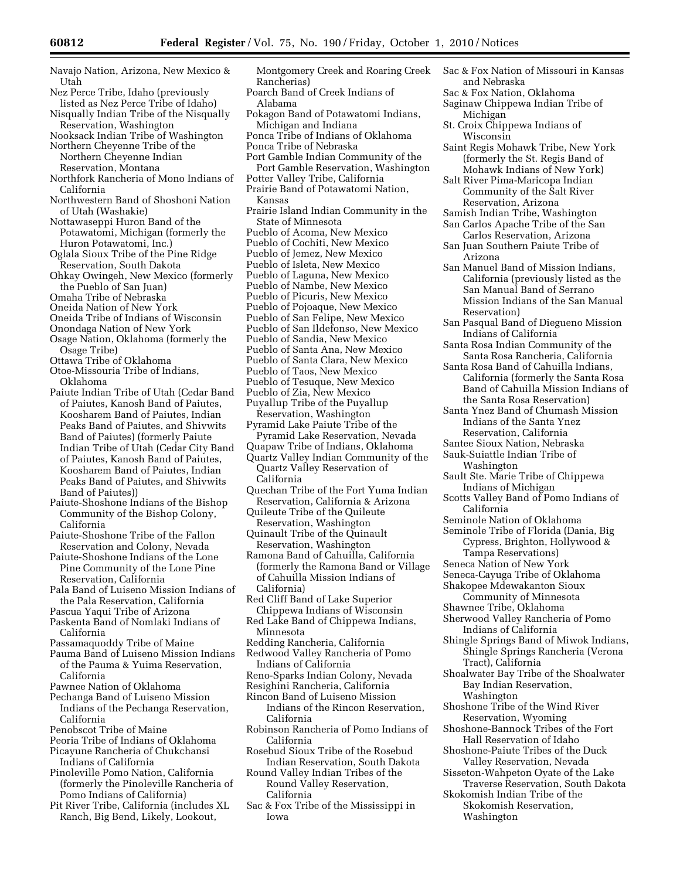- Navajo Nation, Arizona, New Mexico & Utah
- Nez Perce Tribe, Idaho (previously listed as Nez Perce Tribe of Idaho)
- Nisqually Indian Tribe of the Nisqually Reservation, Washington
- Nooksack Indian Tribe of Washington Northern Cheyenne Tribe of the
- Northern Cheyenne Indian Reservation, Montana
- Northfork Rancheria of Mono Indians of California
- Northwestern Band of Shoshoni Nation of Utah (Washakie)
- Nottawaseppi Huron Band of the Potawatomi, Michigan (formerly the Huron Potawatomi, Inc.)
- Oglala Sioux Tribe of the Pine Ridge Reservation, South Dakota
- Ohkay Owingeh, New Mexico (formerly the Pueblo of San Juan)
- Omaha Tribe of Nebraska
- Oneida Nation of New York
- Oneida Tribe of Indians of Wisconsin
- Onondaga Nation of New York Osage Nation, Oklahoma (formerly the
- Osage Tribe)
- Ottawa Tribe of Oklahoma
- Otoe-Missouria Tribe of Indians, Oklahoma
- Paiute Indian Tribe of Utah (Cedar Band of Paiutes, Kanosh Band of Paiutes, Koosharem Band of Paiutes, Indian Peaks Band of Paiutes, and Shivwits Band of Paiutes) (formerly Paiute Indian Tribe of Utah (Cedar City Band of Paiutes, Kanosh Band of Paiutes, Koosharem Band of Paiutes, Indian Peaks Band of Paiutes, and Shivwits Band of Paiutes))
- Paiute-Shoshone Indians of the Bishop Community of the Bishop Colony, California
- Paiute-Shoshone Tribe of the Fallon Reservation and Colony, Nevada
- Paiute-Shoshone Indians of the Lone Pine Community of the Lone Pine Reservation, California
- Pala Band of Luiseno Mission Indians of the Pala Reservation, California
- Pascua Yaqui Tribe of Arizona
- Paskenta Band of Nomlaki Indians of California
- Passamaquoddy Tribe of Maine
- Pauma Band of Luiseno Mission Indians of the Pauma & Yuima Reservation, California
- Pawnee Nation of Oklahoma
- Pechanga Band of Luiseno Mission Indians of the Pechanga Reservation, California
- Penobscot Tribe of Maine
- Peoria Tribe of Indians of Oklahoma
- Picayune Rancheria of Chukchansi Indians of California
- Pinoleville Pomo Nation, California (formerly the Pinoleville Rancheria of Pomo Indians of California)
- Pit River Tribe, California (includes XL Ranch, Big Bend, Likely, Lookout,

Montgomery Creek and Roaring Creek Rancherias) Poarch Band of Creek Indians of Alabama Pokagon Band of Potawatomi Indians, Michigan and Indiana Ponca Tribe of Indians of Oklahoma Ponca Tribe of Nebraska Port Gamble Indian Community of the Port Gamble Reservation, Washington Potter Valley Tribe, California Prairie Band of Potawatomi Nation, Kansas Prairie Island Indian Community in the State of Minnesota Pueblo of Acoma, New Mexico Pueblo of Cochiti, New Mexico Pueblo of Jemez, New Mexico Pueblo of Isleta, New Mexico Pueblo of Laguna, New Mexico Pueblo of Nambe, New Mexico Pueblo of Picuris, New Mexico Pueblo of Pojoaque, New Mexico Pueblo of San Felipe, New Mexico Pueblo of San Ildefonso, New Mexico Pueblo of Sandia, New Mexico Pueblo of Santa Ana, New Mexico Pueblo of Santa Clara, New Mexico Pueblo of Taos, New Mexico Pueblo of Tesuque, New Mexico Pueblo of Zia, New Mexico

Puyallup Tribe of the Puyallup Reservation, Washington

- Pyramid Lake Paiute Tribe of the Pyramid Lake Reservation, Nevada
- Quapaw Tribe of Indians, Oklahoma
- Quartz Valley Indian Community of the Quartz Valley Reservation of California
- Quechan Tribe of the Fort Yuma Indian Reservation, California & Arizona
- Quileute Tribe of the Quileute Reservation, Washington
- Quinault Tribe of the Quinault Reservation, Washington
- Ramona Band of Cahuilla, California (formerly the Ramona Band or Village of Cahuilla Mission Indians of California)
- Red Cliff Band of Lake Superior Chippewa Indians of Wisconsin
- Red Lake Band of Chippewa Indians,
- Minnesota Redding Rancheria, California
- Redwood Valley Rancheria of Pomo Indians of California
- Reno-Sparks Indian Colony, Nevada
- Resighini Rancheria, California
- Rincon Band of Luiseno Mission
- Indians of the Rincon Reservation, California
- Robinson Rancheria of Pomo Indians of California
- Rosebud Sioux Tribe of the Rosebud Indian Reservation, South Dakota
- Round Valley Indian Tribes of the Round Valley Reservation, California
- Sac & Fox Tribe of the Mississippi in Iowa
- Sac & Fox Nation of Missouri in Kansas and Nebraska
- Sac & Fox Nation, Oklahoma
- Saginaw Chippewa Indian Tribe of Michigan
- St. Croix Chippewa Indians of Wisconsin
- Saint Regis Mohawk Tribe, New York (formerly the St. Regis Band of Mohawk Indians of New York)
- Salt River Pima-Maricopa Indian Community of the Salt River Reservation, Arizona
- Samish Indian Tribe, Washington
- San Carlos Apache Tribe of the San Carlos Reservation, Arizona
- San Juan Southern Paiute Tribe of Arizona
- San Manuel Band of Mission Indians, California (previously listed as the San Manual Band of Serrano Mission Indians of the San Manual Reservation)
- San Pasqual Band of Diegueno Mission Indians of California
- Santa Rosa Indian Community of the Santa Rosa Rancheria, California
- Santa Rosa Band of Cahuilla Indians, California (formerly the Santa Rosa Band of Cahuilla Mission Indians of the Santa Rosa Reservation)
- Santa Ynez Band of Chumash Mission Indians of the Santa Ynez Reservation, California
- Santee Sioux Nation, Nebraska
- Sauk-Suiattle Indian Tribe of Washington
- Sault Ste. Marie Tribe of Chippewa Indians of Michigan
- Scotts Valley Band of Pomo Indians of California
- Seminole Nation of Oklahoma
- Seminole Tribe of Florida (Dania, Big Cypress, Brighton, Hollywood & Tampa Reservations)
- Seneca Nation of New York
- Seneca-Cayuga Tribe of Oklahoma
- Shakopee Mdewakanton Sioux Community of Minnesota
- Shawnee Tribe, Oklahoma
- Sherwood Valley Rancheria of Pomo Indians of California
- Shingle Springs Band of Miwok Indians, Shingle Springs Rancheria (Verona Tract), California
- Shoalwater Bay Tribe of the Shoalwater Bay Indian Reservation,
- Washington
- Shoshone Tribe of the Wind River Reservation, Wyoming
- Shoshone-Bannock Tribes of the Fort Hall Reservation of Idaho
- Shoshone-Paiute Tribes of the Duck Valley Reservation, Nevada
- Sisseton-Wahpeton Oyate of the Lake Traverse Reservation, South Dakota
- Skokomish Indian Tribe of the Skokomish Reservation, Washington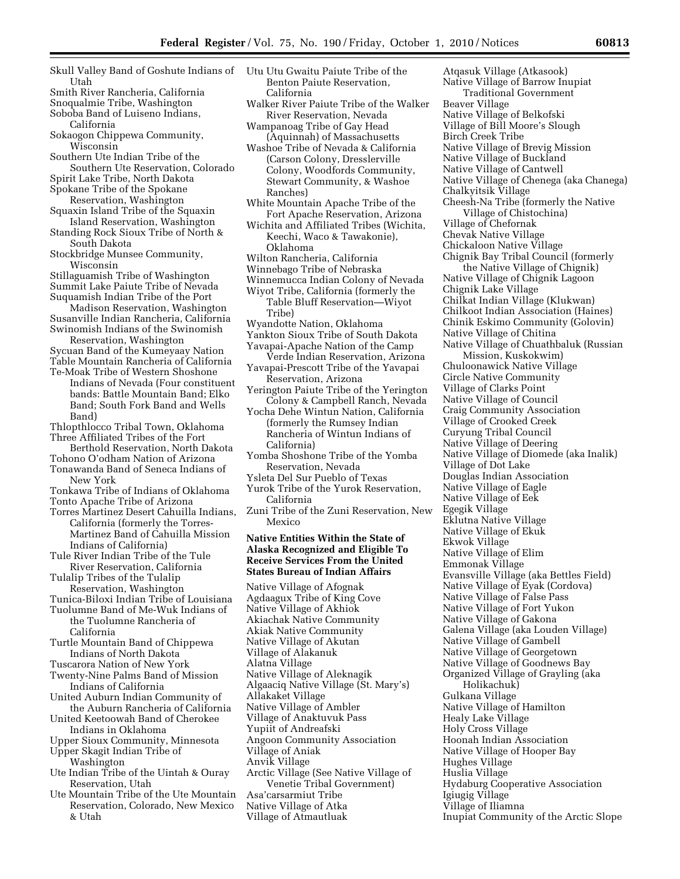- Skull Valley Band of Goshute Indians of Utu Utu Gwaitu Paiute Tribe of the Utah
- Smith River Rancheria, California
- Snoqualmie Tribe, Washington
- Soboba Band of Luiseno Indians, California
- Sokaogon Chippewa Community, Wisconsin
- Southern Ute Indian Tribe of the Southern Ute Reservation, Colorado
- Spirit Lake Tribe, North Dakota
- Spokane Tribe of the Spokane Reservation, Washington
- Squaxin Island Tribe of the Squaxin Island Reservation, Washington
- Standing Rock Sioux Tribe of North & South Dakota
- Stockbridge Munsee Community, Wisconsin
- Stillaguamish Tribe of Washington Summit Lake Paiute Tribe of Nevada Suquamish Indian Tribe of the Port
- Madison Reservation, Washington Susanville Indian Rancheria, California
- Swinomish Indians of the Swinomish Reservation, Washington Sycuan Band of the Kumeyaay Nation
- Table Mountain Rancheria of California Te-Moak Tribe of Western Shoshone
- Indians of Nevada (Four constituent bands: Battle Mountain Band; Elko Band; South Fork Band and Wells Band)
- Thlopthlocco Tribal Town, Oklahoma Three Affiliated Tribes of the Fort
- Berthold Reservation, North Dakota Tohono O'odham Nation of Arizona Tonawanda Band of Seneca Indians of
- New York
- Tonkawa Tribe of Indians of Oklahoma
- Tonto Apache Tribe of Arizona
- Torres Martinez Desert Cahuilla Indians, California (formerly the Torres-Martinez Band of Cahuilla Mission Indians of California)
- Tule River Indian Tribe of the Tule River Reservation, California
- Tulalip Tribes of the Tulalip Reservation, Washington
- Tunica-Biloxi Indian Tribe of Louisiana
- Tuolumne Band of Me-Wuk Indians of the Tuolumne Rancheria of California
- Turtle Mountain Band of Chippewa Indians of North Dakota
- Tuscarora Nation of New York
- Twenty-Nine Palms Band of Mission Indians of California
- United Auburn Indian Community of the Auburn Rancheria of California
- United Keetoowah Band of Cherokee Indians in Oklahoma
- Upper Sioux Community, Minnesota
- Upper Skagit Indian Tribe of Washington
- Ute Indian Tribe of the Uintah & Ouray Reservation, Utah
- Ute Mountain Tribe of the Ute Mountain Reservation, Colorado, New Mexico & Utah
- Benton Paiute Reservation, California
- Walker River Paiute Tribe of the Walker River Reservation, Nevada
- Wampanoag Tribe of Gay Head (Aquinnah) of Massachusetts
- Washoe Tribe of Nevada & California (Carson Colony, Dresslerville Colony, Woodfords Community, Stewart Community, & Washoe Ranches)
- White Mountain Apache Tribe of the Fort Apache Reservation, Arizona
- Wichita and Affiliated Tribes (Wichita, Keechi, Waco & Tawakonie), Oklahoma
- Wilton Rancheria, California
- Winnebago Tribe of Nebraska
- Winnemucca Indian Colony of Nevada
- Wiyot Tribe, California (formerly the Table Bluff Reservation—Wiyot Tribe)
- Wyandotte Nation, Oklahoma
- Yankton Sioux Tribe of South Dakota
- Yavapai-Apache Nation of the Camp Verde Indian Reservation, Arizona
- Yavapai-Prescott Tribe of the Yavapai Reservation, Arizona
- Yerington Paiute Tribe of the Yerington Colony & Campbell Ranch, Nevada
- Yocha Dehe Wintun Nation, California (formerly the Rumsey Indian Rancheria of Wintun Indians of California)
- Yomba Shoshone Tribe of the Yomba Reservation, Nevada
- Ysleta Del Sur Pueblo of Texas
- Yurok Tribe of the Yurok Reservation, California
- Zuni Tribe of the Zuni Reservation, New Mexico

# **Native Entities Within the State of Alaska Recognized and Eligible To Receive Services From the United States Bureau of Indian Affairs**

- Native Village of Afognak Agdaagux Tribe of King Cove Native Village of Akhiok Akiachak Native Community Akiak Native Community Native Village of Akutan Village of Alakanuk Alatna Village Native Village of Aleknagik Algaaciq Native Village (St. Mary's) Allakaket Village Native Village of Ambler Village of Anaktuvuk Pass Yupiit of Andreafski Angoon Community Association Village of Aniak Anvik Village Arctic Village (See Native Village of Venetie Tribal Government) Asa'carsarmiut Tribe Native Village of Atka Village of Atmautluak
- Atqasuk Village (Atkasook) Native Village of Barrow Inupiat Traditional Government Beaver Village Native Village of Belkofski Village of Bill Moore's Slough Birch Creek Tribe Native Village of Brevig Mission Native Village of Buckland Native Village of Cantwell Native Village of Chenega (aka Chanega) Chalkyitsik Village Cheesh-Na Tribe (formerly the Native Village of Chistochina) Village of Chefornak Chevak Native Village Chickaloon Native Village Chignik Bay Tribal Council (formerly the Native Village of Chignik) Native Village of Chignik Lagoon Chignik Lake Village Chilkat Indian Village (Klukwan) Chilkoot Indian Association (Haines) Chinik Eskimo Community (Golovin) Native Village of Chitina Native Village of Chuathbaluk (Russian Mission, Kuskokwim) Chuloonawick Native Village Circle Native Community Village of Clarks Point Native Village of Council Craig Community Association Village of Crooked Creek Curyung Tribal Council Native Village of Deering Native Village of Diomede (aka Inalik) Village of Dot Lake Douglas Indian Association Native Village of Eagle Native Village of Eek Egegik Village Eklutna Native Village Native Village of Ekuk Ekwok Village Native Village of Elim Emmonak Village Evansville Village (aka Bettles Field) Native Village of Eyak (Cordova) Native Village of False Pass Native Village of Fort Yukon Native Village of Gakona Galena Village (aka Louden Village) Native Village of Gambell Native Village of Georgetown Native Village of Goodnews Bay Organized Village of Grayling (aka Holikachuk) Gulkana Village Native Village of Hamilton Healy Lake Village Holy Cross Village Hoonah Indian Association Native Village of Hooper Bay Hughes Village Huslia Village Hydaburg Cooperative Association Igiugig Village Village of Iliamna Inupiat Community of the Arctic Slope